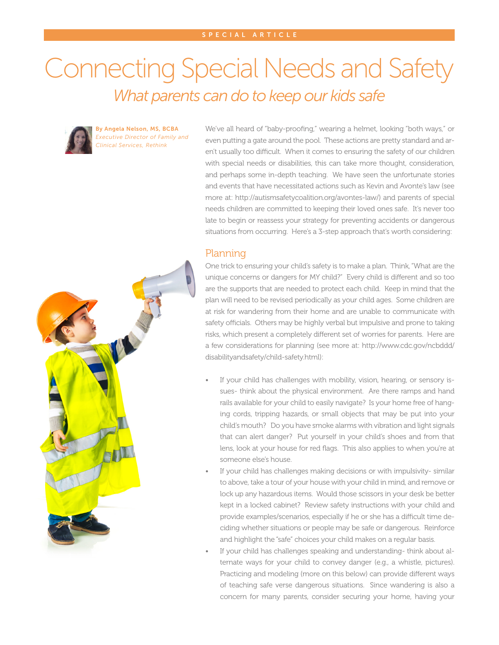## Connecting Special Needs and Safety *What parents can do to keep our kids safe*



By Angela Nelson, MS, BCBA *Executive Director of Family and Clinical Services, Rethink*

We've all heard of "baby-proofing," wearing a helmet, looking "both ways," or even putting a gate around the pool. These actions are pretty standard and aren't usually too difficult. When it comes to ensuring the safety of our children with special needs or disabilities, this can take more thought, consideration, and perhaps some in-depth teaching. We have seen the unfortunate stories and events that have necessitated actions such as Kevin and Avonte's law (see more at: http://autismsafetycoalition.org/avontes-law/) and parents of special needs children are committed to keeping their loved ones safe. It's never too late to begin or reassess your strategy for preventing accidents or dangerous situations from occurring. Here's a 3-step approach that's worth considering:

## Planning

One trick to ensuring your child's safety is to make a plan. Think, "What are the unique concerns or dangers for MY child?" Every child is different and so too are the supports that are needed to protect each child. Keep in mind that the plan will need to be revised periodically as your child ages. Some children are at risk for wandering from their home and are unable to communicate with safety officials. Others may be highly verbal but impulsive and prone to taking risks, which present a completely different set of worries for parents. Here are a few considerations for planning (see more at: http://www.cdc.gov/ncbddd/ disabilityandsafety/child-safety.html):

- If your child has challenges with mobility, vision, hearing, or sensory issues- think about the physical environment. Are there ramps and hand rails available for your child to easily navigate? Is your home free of hanging cords, tripping hazards, or small objects that may be put into your child's mouth? Do you have smoke alarms with vibration and light signals that can alert danger? Put yourself in your child's shoes and from that lens, look at your house for red flags. This also applies to when you're at someone else's house.
- If your child has challenges making decisions or with impulsivity- similar to above, take a tour of your house with your child in mind, and remove or lock up any hazardous items. Would those scissors in your desk be better kept in a locked cabinet? Review safety instructions with your child and provide examples/scenarios, especially if he or she has a difficult time deciding whether situations or people may be safe or dangerous. Reinforce and highlight the "safe" choices your child makes on a regular basis.
- If your child has challenges speaking and understanding- think about alternate ways for your child to convey danger (e.g., a whistle, pictures). Practicing and modeling (more on this below) can provide different ways of teaching safe verse dangerous situations. Since wandering is also a concern for many parents, consider securing your home, having your